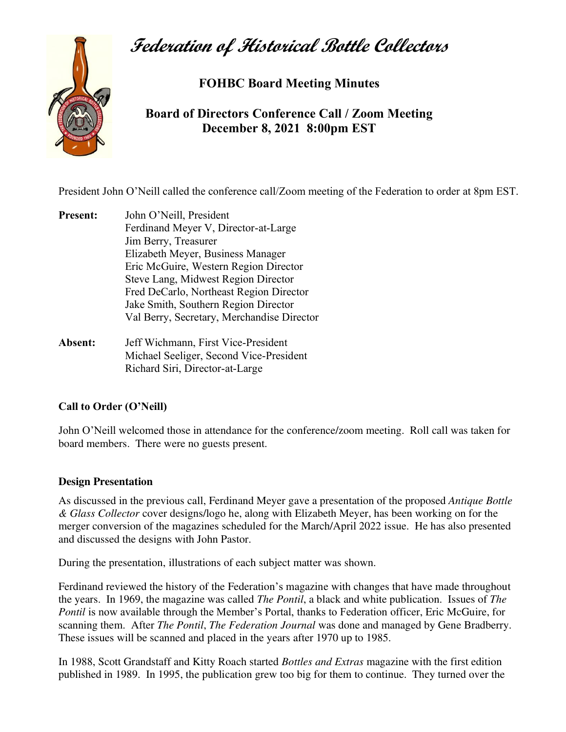## **Federation of Historical Bottle Collectors**



**FOHBC Board Meeting Minutes** 

**Board of Directors Conference Call / Zoom Meeting December 8, 2021 8:00pm EST**

President John O'Neill called the conference call/Zoom meeting of the Federation to order at 8pm EST.

- **Present:** John O'Neill, President Ferdinand Meyer V, Director-at-Large Jim Berry, Treasurer Elizabeth Meyer, Business Manager Eric McGuire, Western Region Director Steve Lang, Midwest Region Director Fred DeCarlo, Northeast Region Director Jake Smith, Southern Region Director Val Berry, Secretary, Merchandise Director
- **Absent:** Jeff Wichmann, First Vice-President Michael Seeliger, Second Vice-President Richard Siri, Director-at-Large

## **Call to Order (O'Neill)**

John O'Neill welcomed those in attendance for the conference/zoom meeting. Roll call was taken for board members. There were no guests present.

## **Design Presentation**

As discussed in the previous call, Ferdinand Meyer gave a presentation of the proposed *Antique Bottle & Glass Collector* cover designs/logo he, along with Elizabeth Meyer, has been working on for the merger conversion of the magazines scheduled for the March/April 2022 issue. He has also presented and discussed the designs with John Pastor.

During the presentation, illustrations of each subject matter was shown.

Ferdinand reviewed the history of the Federation's magazine with changes that have made throughout the years. In 1969, the magazine was called *The Pontil*, a black and white publication. Issues of *The Pontil* is now available through the Member's Portal, thanks to Federation officer, Eric McGuire, for scanning them. After *The Pontil*, *The Federation Journal* was done and managed by Gene Bradberry. These issues will be scanned and placed in the years after 1970 up to 1985.

In 1988, Scott Grandstaff and Kitty Roach started *Bottles and Extras* magazine with the first edition published in 1989. In 1995, the publication grew too big for them to continue. They turned over the